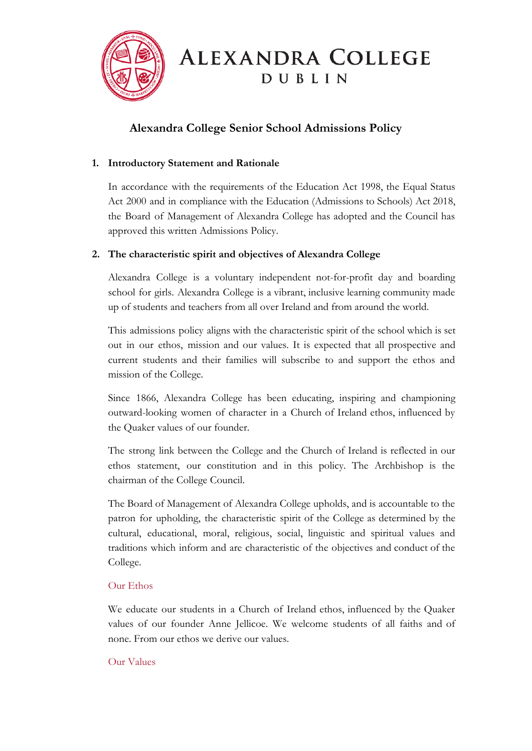

# **ALEXANDRA COLLEGE DUBLIN**

# **Alexandra College Senior School Admissions Policy**

## **1. Introductory Statement and Rationale**

In accordance with the requirements of the Education Act 1998, the Equal Status Act 2000 and in compliance with the Education (Admissions to Schools) Act 2018, the Board of Management of Alexandra College has adopted and the Council has approved this written Admissions Policy.

## **2. The characteristic spirit and objectives of Alexandra College**

Alexandra College is a voluntary independent not-for-profit day and boarding school for girls. Alexandra College is a vibrant, inclusive learning community made up of students and teachers from all over Ireland and from around the world.

This admissions policy aligns with the characteristic spirit of the school which is set out in our ethos, mission and our values. It is expected that all prospective and current students and their families will subscribe to and support the ethos and mission of the College.

Since 1866, Alexandra College has been educating, inspiring and championing outward-looking women of character in a Church of Ireland ethos, influenced by the Quaker values of our founder.

The strong link between the College and the Church of Ireland is reflected in our ethos statement, our constitution and in this policy. The Archbishop is the chairman of the College Council.

The Board of Management of Alexandra College upholds, and is accountable to the patron for upholding, the characteristic spirit of the College as determined by the cultural, educational, moral, religious, social, linguistic and spiritual values and traditions which inform and are characteristic of the objectives and conduct of the College.

## Our Ethos

We educate our students in a Church of Ireland ethos, influenced by the Quaker values of our founder Anne Jellicoe. We welcome students of all faiths and of none. From our ethos we derive our values.

## Our Values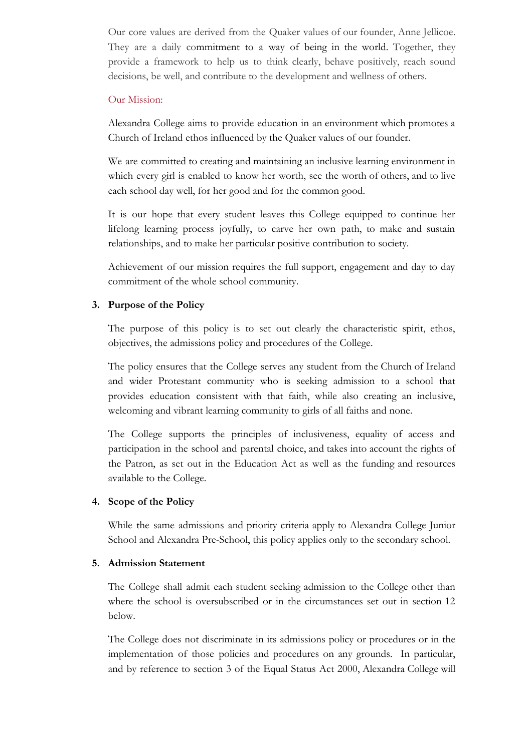Our core values are derived from the Quaker values of our founder, Anne Jellicoe. They are a daily commitment to a way of being in the world. Together, they provide a framework to help us to think clearly, behave positively, reach sound decisions, be well, and contribute to the development and wellness of others.

#### Our Mission:

Alexandra College aims to provide education in an environment which promotes a Church of Ireland ethos influenced by the Quaker values of our founder.

We are committed to creating and maintaining an inclusive learning environment in which every girl is enabled to know her worth, see the worth of others, and to live each school day well, for her good and for the common good.

It is our hope that every student leaves this College equipped to continue her lifelong learning process joyfully, to carve her own path, to make and sustain relationships, and to make her particular positive contribution to society.

Achievement of our mission requires the full support, engagement and day to day commitment of the whole school community.

#### **3. Purpose of the Policy**

The purpose of this policy is to set out clearly the characteristic spirit, ethos, objectives, the admissions policy and procedures of the College.

The policy ensures that the College serves any student from the Church of Ireland and wider Protestant community who is seeking admission to a school that provides education consistent with that faith, while also creating an inclusive, welcoming and vibrant learning community to girls of all faiths and none.

The College supports the principles of inclusiveness, equality of access and participation in the school and parental choice, and takes into account the rights of the Patron, as set out in the Education Act as well as the funding and resources available to the College.

#### **4. Scope of the Policy**

While the same admissions and priority criteria apply to Alexandra College Junior School and Alexandra Pre-School, this policy applies only to the secondary school.

#### **5. Admission Statement**

The College shall admit each student seeking admission to the College other than where the school is oversubscribed or in the circumstances set out in section 12 below.

The College does not discriminate in its admissions policy or procedures or in the implementation of those policies and procedures on any grounds. In particular, and by reference to section 3 of the Equal Status Act 2000, Alexandra College will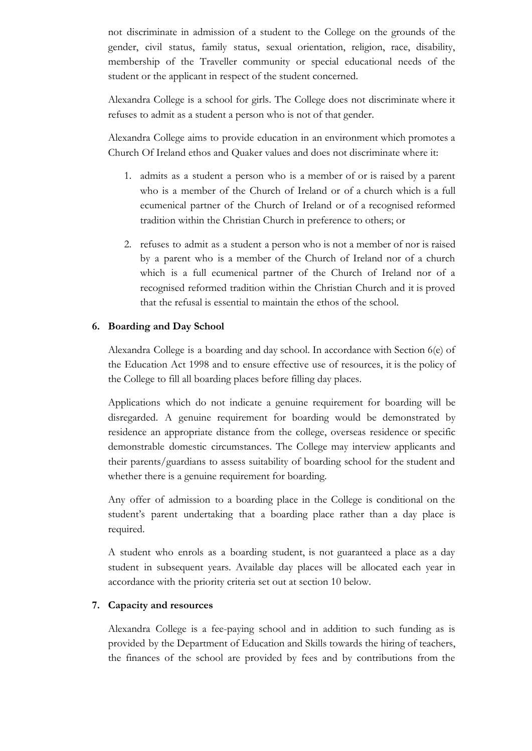not discriminate in admission of a student to the College on the grounds of the gender, civil status, family status, sexual orientation, religion, race, disability, membership of the Traveller community or special educational needs of the student or the applicant in respect of the student concerned.

Alexandra College is a school for girls. The College does not discriminate where it refuses to admit as a student a person who is not of that gender.

Alexandra College aims to provide education in an environment which promotes a Church Of Ireland ethos and Quaker values and does not discriminate where it:

- 1. admits as a student a person who is a member of or is raised by a parent who is a member of the Church of Ireland or of a church which is a full ecumenical partner of the Church of Ireland or of a recognised reformed tradition within the Christian Church in preference to others; or
- 2. refuses to admit as a student a person who is not a member of nor is raised by a parent who is a member of the Church of Ireland nor of a church which is a full ecumenical partner of the Church of Ireland nor of a recognised reformed tradition within the Christian Church and it is proved that the refusal is essential to maintain the ethos of the school.

#### **6. Boarding and Day School**

Alexandra College is a boarding and day school. In accordance with Section 6(e) of the Education Act 1998 and to ensure effective use of resources, it is the policy of the College to fill all boarding places before filling day places.

Applications which do not indicate a genuine requirement for boarding will be disregarded. A genuine requirement for boarding would be demonstrated by residence an appropriate distance from the college, overseas residence or specific demonstrable domestic circumstances. The College may interview applicants and their parents/guardians to assess suitability of boarding school for the student and whether there is a genuine requirement for boarding.

Any offer of admission to a boarding place in the College is conditional on the student's parent undertaking that a boarding place rather than a day place is required.

A student who enrols as a boarding student, is not guaranteed a place as a day student in subsequent years. Available day places will be allocated each year in accordance with the priority criteria set out at section 10 below.

#### **7. Capacity and resources**

Alexandra College is a fee-paying school and in addition to such funding as is provided by the Department of Education and Skills towards the hiring of teachers, the finances of the school are provided by fees and by contributions from the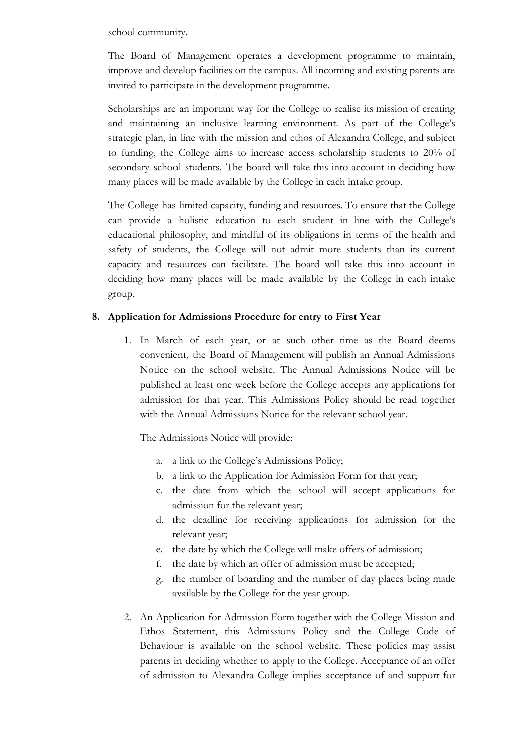school community.

The Board of Management operates a development programme to maintain, improve and develop facilities on the campus. All incoming and existing parents are invited to participate in the development programme.

Scholarships are an important way for the College to realise its mission of creating and maintaining an inclusive learning environment. As part of the College's strategic plan, in line with the mission and ethos of Alexandra College, and subject to funding, the College aims to increase access scholarship students to 20% of secondary school students. The board will take this into account in deciding how many places will be made available by the College in each intake group.

The College has limited capacity, funding and resources. To ensure that the College can provide a holistic education to each student in line with the College's educational philosophy, and mindful of its obligations in terms of the health and safety of students, the College will not admit more students than its current capacity and resources can facilitate. The board will take this into account in deciding how many places will be made available by the College in each intake group.

## **8. Application for Admissions Procedure for entry to First Year**

1. In March of each year, or at such other time as the Board deems convenient, the Board of Management will publish an Annual Admissions Notice on the school website. The Annual Admissions Notice will be published at least one week before the College accepts any applications for admission for that year. This Admissions Policy should be read together with the Annual Admissions Notice for the relevant school year.

The Admissions Notice will provide:

- a. a link to the College's Admissions Policy;
- b. a link to the Application for Admission Form for that year;
- c. the date from which the school will accept applications for admission for the relevant year;
- d. the deadline for receiving applications for admission for the relevant year;
- e. the date by which the College will make offers of admission;
- f. the date by which an offer of admission must be accepted;
- g. the number of boarding and the number of day places being made available by the College for the year group.
- 2. An Application for Admission Form together with the College Mission and Ethos Statement, this Admissions Policy and the College Code of Behaviour is available on the school website. These policies may assist parents in deciding whether to apply to the College. Acceptance of an offer of admission to Alexandra College implies acceptance of and support for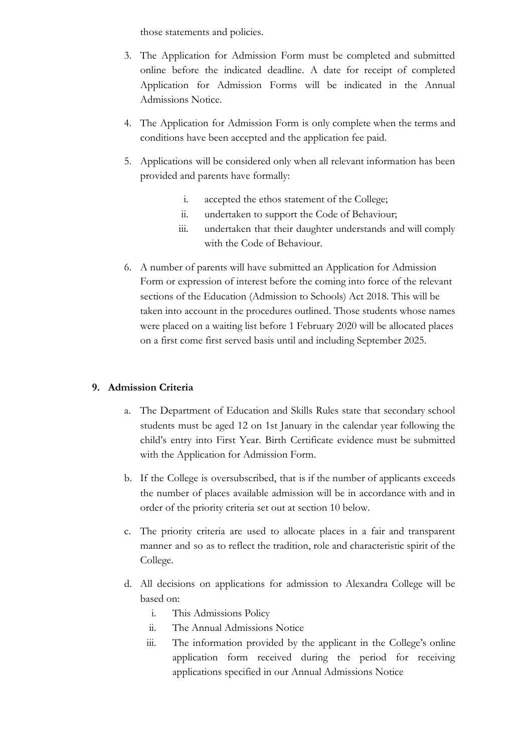those statements and policies.

- 3. The Application for Admission Form must be completed and submitted online before the indicated deadline. A date for receipt of completed Application for Admission Forms will be indicated in the Annual Admissions Notice.
- 4. The Application for Admission Form is only complete when the terms and conditions have been accepted and the application fee paid.
- 5. Applications will be considered only when all relevant information has been provided and parents have formally:
	- i. accepted the ethos statement of the College;
	- ii. undertaken to support the Code of Behaviour;
	- iii. undertaken that their daughter understands and will comply with the Code of Behaviour.
- 6. A number of parents will have submitted an Application for Admission Form or expression of interest before the coming into force of the relevant sections of the Education (Admission to Schools) Act 2018. This will be taken into account in the procedures outlined. Those students whose names were placed on a waiting list before 1 February 2020 will be allocated places on a first come first served basis until and including September 2025.

#### **9. Admission Criteria**

- a. The Department of Education and Skills Rules state that secondary school students must be aged 12 on 1st January in the calendar year following the child's entry into First Year. Birth Certificate evidence must be submitted with the Application for Admission Form.
- b. If the College is oversubscribed, that is if the number of applicants exceeds the number of places available admission will be in accordance with and in order of the priority criteria set out at section 10 below.
- c. The priority criteria are used to allocate places in a fair and transparent manner and so as to reflect the tradition, role and characteristic spirit of the College.
- d. All decisions on applications for admission to Alexandra College will be based on:
	- i. This Admissions Policy
	- ii. The Annual Admissions Notice
	- iii. The information provided by the applicant in the College's online application form received during the period for receiving applications specified in our Annual Admissions Notice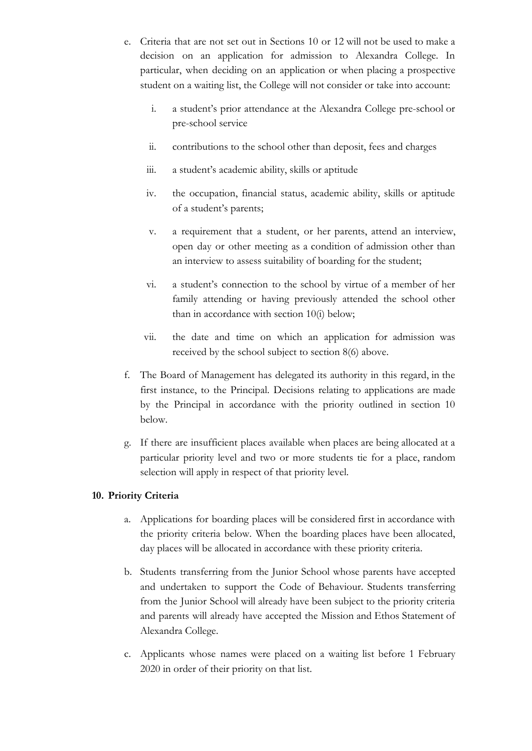- e. Criteria that are not set out in Sections 10 or 12 will not be used to make a decision on an application for admission to Alexandra College. In particular, when deciding on an application or when placing a prospective student on a waiting list, the College will not consider or take into account:
	- i. a student's prior attendance at the Alexandra College pre-school or pre-school service
	- ii. contributions to the school other than deposit, fees and charges
	- iii. a student's academic ability, skills or aptitude
	- iv. the occupation, financial status, academic ability, skills or aptitude of a student's parents;
	- v. a requirement that a student, or her parents, attend an interview, open day or other meeting as a condition of admission other than an interview to assess suitability of boarding for the student;
	- vi. a student's connection to the school by virtue of a member of her family attending or having previously attended the school other than in accordance with section 10(i) below;
	- vii. the date and time on which an application for admission was received by the school subject to section 8(6) above.
- f. The Board of Management has delegated its authority in this regard, in the first instance, to the Principal. Decisions relating to applications are made by the Principal in accordance with the priority outlined in section 10 below.
- g. If there are insufficient places available when places are being allocated at a particular priority level and two or more students tie for a place, random selection will apply in respect of that priority level.

## **10. Priority Criteria**

- a. Applications for boarding places will be considered first in accordance with the priority criteria below. When the boarding places have been allocated, day places will be allocated in accordance with these priority criteria.
- b. Students transferring from the Junior School whose parents have accepted and undertaken to support the Code of Behaviour. Students transferring from the Junior School will already have been subject to the priority criteria and parents will already have accepted the Mission and Ethos Statement of Alexandra College.
- c. Applicants whose names were placed on a waiting list before 1 February 2020 in order of their priority on that list.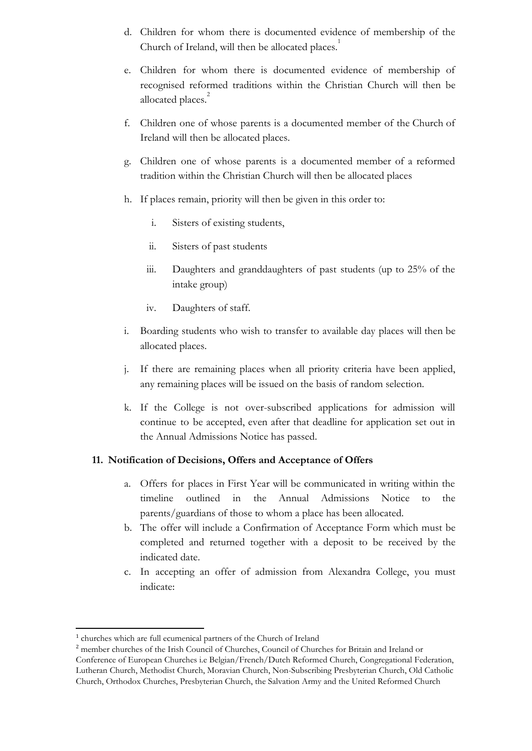- d. Children for whom there is documented evidence of membership of the Church of Ireland, will then be allocated places.<sup>1</sup>
- e. Children for whom there is documented evidence of membership of recognised reformed traditions within the Christian Church will then be allocated places.<sup>2</sup>
- f. Children one of whose parents is a documented member of the Church of Ireland will then be allocated places.
- g. Children one of whose parents is a documented member of a reformed tradition within the Christian Church will then be allocated places
- h. If places remain, priority will then be given in this order to:
	- i. Sisters of existing students,
	- ii. Sisters of past students
	- iii. Daughters and granddaughters of past students (up to 25% of the intake group)
	- iv. Daughters of staff.
- i. Boarding students who wish to transfer to available day places will then be allocated places.
- j. If there are remaining places when all priority criteria have been applied, any remaining places will be issued on the basis of random selection.
- k. If the College is not over-subscribed applications for admission will continue to be accepted, even after that deadline for application set out in the Annual Admissions Notice has passed.

#### **11. Notification of Decisions, Offers and Acceptance of Offers**

- a. Offers for places in First Year will be communicated in writing within the timeline outlined in the Annual Admissions Notice to the parents/guardians of those to whom a place has been allocated.
- b. The offer will include a Confirmation of Acceptance Form which must be completed and returned together with a deposit to be received by the indicated date.
- c. In accepting an offer of admission from Alexandra College, you must indicate:

<sup>1</sup> churches which are full ecumenical partners of the Church of Ireland

<sup>2</sup> member churches of the Irish Council of Churches, Council of Churches for Britain and Ireland or Conference of European Churches i.e Belgian/French/Dutch Reformed Church, Congregational Federation, Lutheran Church, Methodist Church, Moravian Church, Non-Subscribing Presbyterian Church, Old Catholic Church, Orthodox Churches, Presbyterian Church, the Salvation Army and the United Reformed Church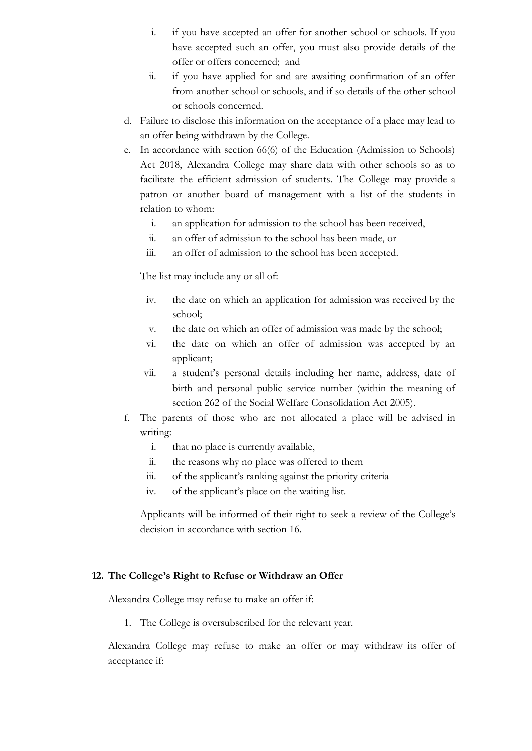- i. if you have accepted an offer for another school or schools. If you have accepted such an offer, you must also provide details of the offer or offers concerned; and
- ii. if you have applied for and are awaiting confirmation of an offer from another school or schools, and if so details of the other school or schools concerned.
- d. Failure to disclose this information on the acceptance of a place may lead to an offer being withdrawn by the College.
- e. In accordance with section 66(6) of the Education (Admission to Schools) Act 2018, Alexandra College may share data with other schools so as to facilitate the efficient admission of students. The College may provide a patron or another board of management with a list of the students in relation to whom:
	- i. an application for admission to the school has been received,
	- ii. an offer of admission to the school has been made, or
	- iii. an offer of admission to the school has been accepted.

The list may include any or all of:

- iv. the date on which an application for admission was received by the school;
- v. the date on which an offer of admission was made by the school;
- vi. the date on which an offer of admission was accepted by an applicant;
- vii. a student's personal details including her name, address, date of birth and personal public service number (within the meaning of section 262 of the Social Welfare Consolidation Act 2005).
- f. The parents of those who are not allocated a place will be advised in writing:
	- i. that no place is currently available,
	- ii. the reasons why no place was offered to them
	- iii. of the applicant's ranking against the priority criteria
	- iv. of the applicant's place on the waiting list.

Applicants will be informed of their right to seek a review of the College's decision in accordance with section 16.

#### **12. The College's Right to Refuse or Withdraw an Offer**

Alexandra College may refuse to make an offer if:

1. The College is oversubscribed for the relevant year.

Alexandra College may refuse to make an offer or may withdraw its offer of acceptance if: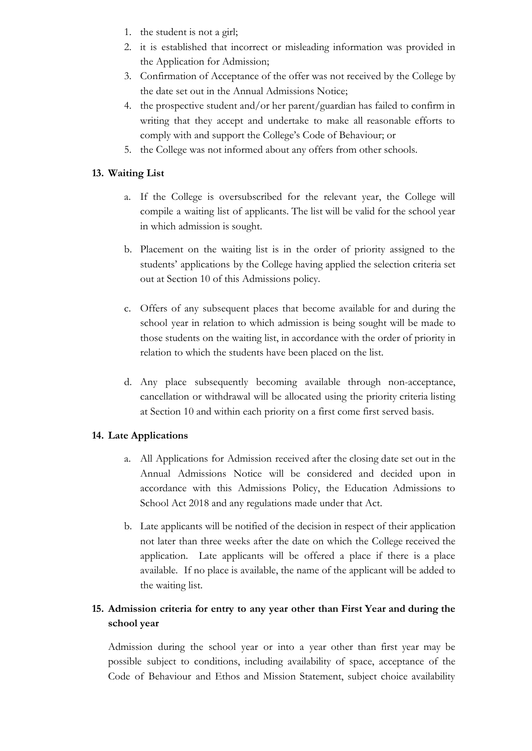- 1. the student is not a girl;
- 2. it is established that incorrect or misleading information was provided in the Application for Admission;
- 3. Confirmation of Acceptance of the offer was not received by the College by the date set out in the Annual Admissions Notice;
- 4. the prospective student and/or her parent/guardian has failed to confirm in writing that they accept and undertake to make all reasonable efforts to comply with and support the College's Code of Behaviour; or
- 5. the College was not informed about any offers from other schools.

## **13. Waiting List**

- a. If the College is oversubscribed for the relevant year, the College will compile a waiting list of applicants. The list will be valid for the school year in which admission is sought.
- b. Placement on the waiting list is in the order of priority assigned to the students' applications by the College having applied the selection criteria set out at Section 10 of this Admissions policy.
- c. Offers of any subsequent places that become available for and during the school year in relation to which admission is being sought will be made to those students on the waiting list, in accordance with the order of priority in relation to which the students have been placed on the list.
- d. Any place subsequently becoming available through non-acceptance, cancellation or withdrawal will be allocated using the priority criteria listing at Section 10 and within each priority on a first come first served basis.

## **14. Late Applications**

- a. All Applications for Admission received after the closing date set out in the Annual Admissions Notice will be considered and decided upon in accordance with this Admissions Policy, the Education Admissions to School Act 2018 and any regulations made under that Act.
- b. Late applicants will be notified of the decision in respect of their application not later than three weeks after the date on which the College received the application. Late applicants will be offered a place if there is a place available. If no place is available, the name of the applicant will be added to the waiting list.

## **15. Admission criteria for entry to any year other than First Year and during the school year**

Admission during the school year or into a year other than first year may be possible subject to conditions, including availability of space, acceptance of the Code of Behaviour and Ethos and Mission Statement, subject choice availability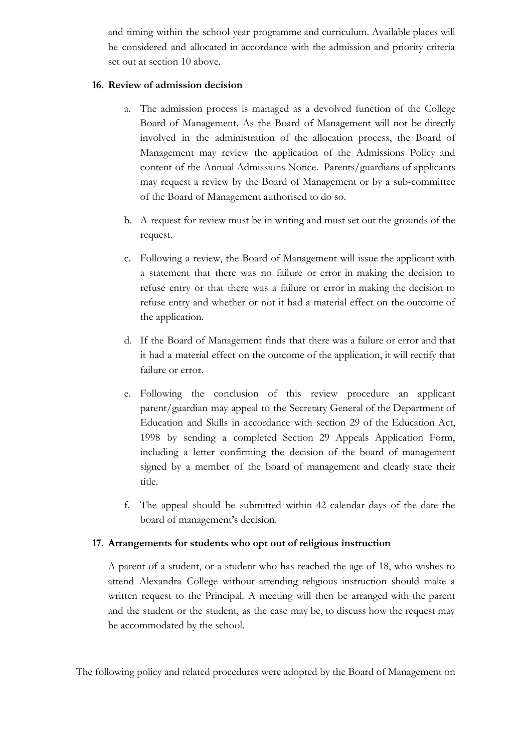and timing within the school year programme and curriculum. Available places will be considered and allocated in accordance with the admission and priority criteria set out at section 10 above.

## **16. Review of admission decision**

- a. The admission process is managed as a devolved function of the College Board of Management. As the Board of Management will not be directly involved in the administration of the allocation process, the Board of Management may review the application of the Admissions Policy and content of the Annual Admissions Notice. Parents/guardians of applicants may request a review by the Board of Management or by a sub-committee of the Board of Management authorised to do so.
- b. A request for review must be in writing and must set out the grounds of the request.
- c. Following a review, the Board of Management will issue the applicant with a statement that there was no failure or error in making the decision to refuse entry or that there was a failure or error in making the decision to refuse entry and whether or not it had a material effect on the outcome of the application.
- d. If the Board of Management finds that there was a failure or error and that it had a material effect on the outcome of the application, it will rectify that failure or error.
- e. Following the conclusion of this review procedure an applicant parent/guardian may appeal to the Secretary General of the Department of Education and Skills in accordance with section 29 of the Education Act, 1998 by sending a completed Section 29 Appeals Application Form, including a letter confirming the decision of the board of management signed by a member of the board of management and clearly state their title.
- f. The appeal should be submitted within 42 calendar days of the date the board of management's decision.

## **17. Arrangements for students who opt out of religious instruction**

A parent of a student, or a student who has reached the age of 18, who wishes to attend Alexandra College without attending religious instruction should make a written request to the Principal. A meeting will then be arranged with the parent and the student or the student, as the case may be, to discuss how the request may be accommodated by the school.

The following policy and related procedures were adopted by the Board of Management on